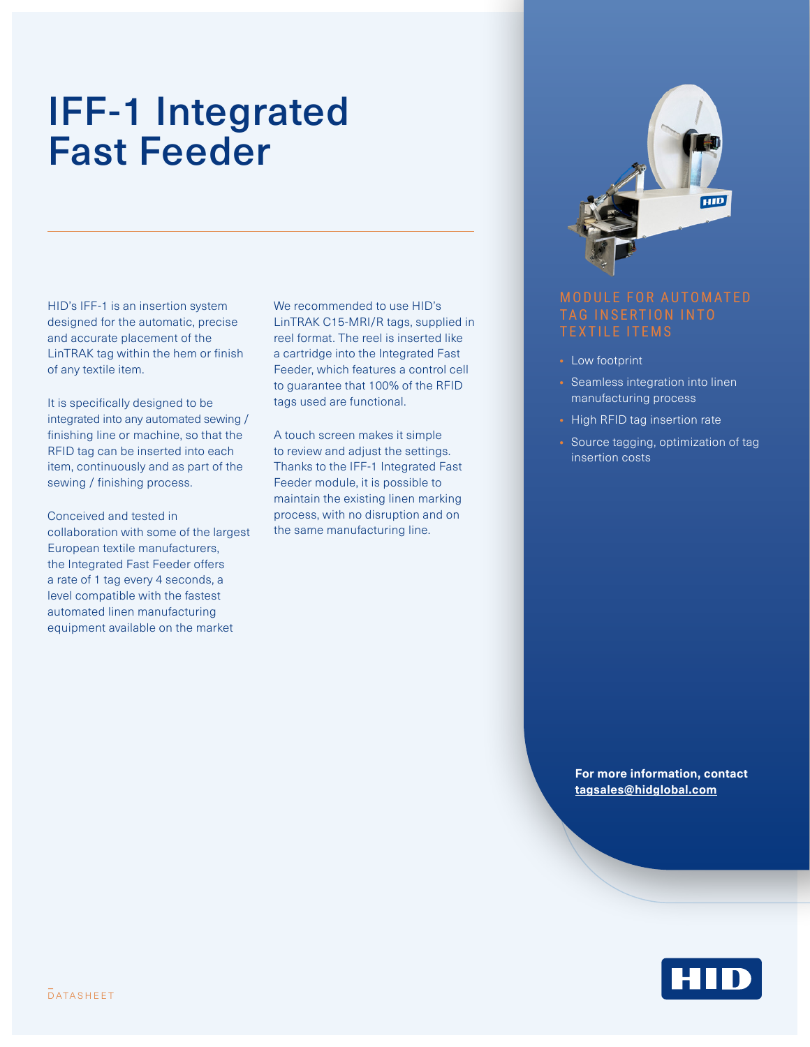## IFF-1 Integrated Fast Feeder

HID's IFF-1 is an insertion system designed for the automatic, precise and accurate placement of the LinTRAK tag within the hem or finish of any textile item.

It is specifically designed to be integrated into any automated sewing / finishing line or machine, so that the RFID tag can be inserted into each item, continuously and as part of the sewing / finishing process.

Conceived and tested in collaboration with some of the largest European textile manufacturers, the Integrated Fast Feeder offers a rate of 1 tag every 4 seconds, a level compatible with the fastest automated linen manufacturing equipment available on the market

We recommended to use HID's LinTRAK C15-MRI/R tags, supplied in reel format. The reel is inserted like a cartridge into the Integrated Fast Feeder, which features a control cell to guarantee that 100% of the RFID tags used are functional.

A touch screen makes it simple to review and adjust the settings. Thanks to the IFF-1 Integrated Fast Feeder module, it is possible to maintain the existing linen marking process, with no disruption and on the same manufacturing line.



- Low footprint
- Seamless integration into linen manufacturing process
- High RFID tag insertion rate
- Source tagging, optimization of tag insertion costs

**For more information, contact [tagsales@hidglobal.com](mailto:tagsales@hidglobal.com)**